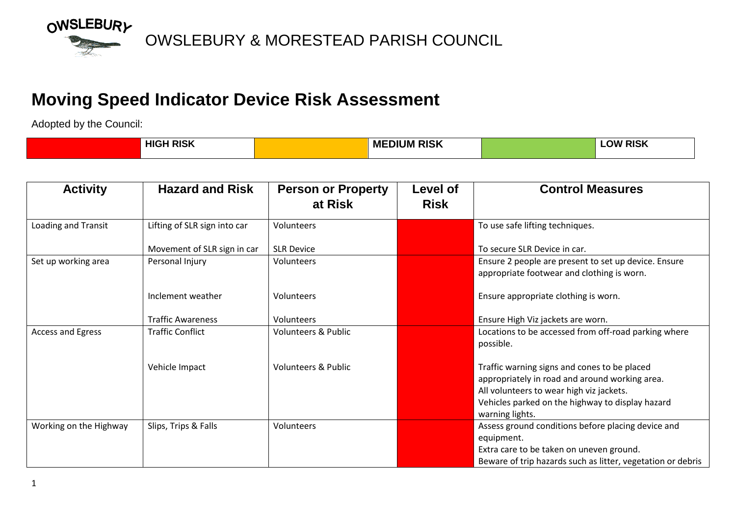

## **Moving Speed Indicator Device Risk Assessment**

Adopted by the Council:

| <b>HIGH RISK</b> | I RISK<br>1 M L<br>МE<br>. J M | <b>RISK</b><br>.OW |
|------------------|--------------------------------|--------------------|
|                  |                                |                    |

| <b>Activity</b>        | <b>Hazard and Risk</b>       | <b>Person or Property</b><br>at Risk | Level of<br><b>Risk</b> | <b>Control Measures</b>                                                                                                                                                                                           |
|------------------------|------------------------------|--------------------------------------|-------------------------|-------------------------------------------------------------------------------------------------------------------------------------------------------------------------------------------------------------------|
| Loading and Transit    | Lifting of SLR sign into car | Volunteers                           |                         | To use safe lifting techniques.                                                                                                                                                                                   |
|                        | Movement of SLR sign in car  | <b>SLR Device</b>                    |                         | To secure SLR Device in car.                                                                                                                                                                                      |
| Set up working area    | Personal Injury              | Volunteers                           |                         | Ensure 2 people are present to set up device. Ensure<br>appropriate footwear and clothing is worn.                                                                                                                |
|                        | Inclement weather            | Volunteers                           |                         | Ensure appropriate clothing is worn.                                                                                                                                                                              |
|                        | <b>Traffic Awareness</b>     | <b>Volunteers</b>                    |                         | Ensure High Viz jackets are worn.                                                                                                                                                                                 |
| Access and Egress      | <b>Traffic Conflict</b>      | <b>Volunteers &amp; Public</b>       |                         | Locations to be accessed from off-road parking where<br>possible.                                                                                                                                                 |
|                        | Vehicle Impact               | <b>Volunteers &amp; Public</b>       |                         | Traffic warning signs and cones to be placed<br>appropriately in road and around working area.<br>All volunteers to wear high viz jackets.<br>Vehicles parked on the highway to display hazard<br>warning lights. |
| Working on the Highway | Slips, Trips & Falls         | Volunteers                           |                         | Assess ground conditions before placing device and<br>equipment.<br>Extra care to be taken on uneven ground.<br>Beware of trip hazards such as litter, vegetation or debris                                       |